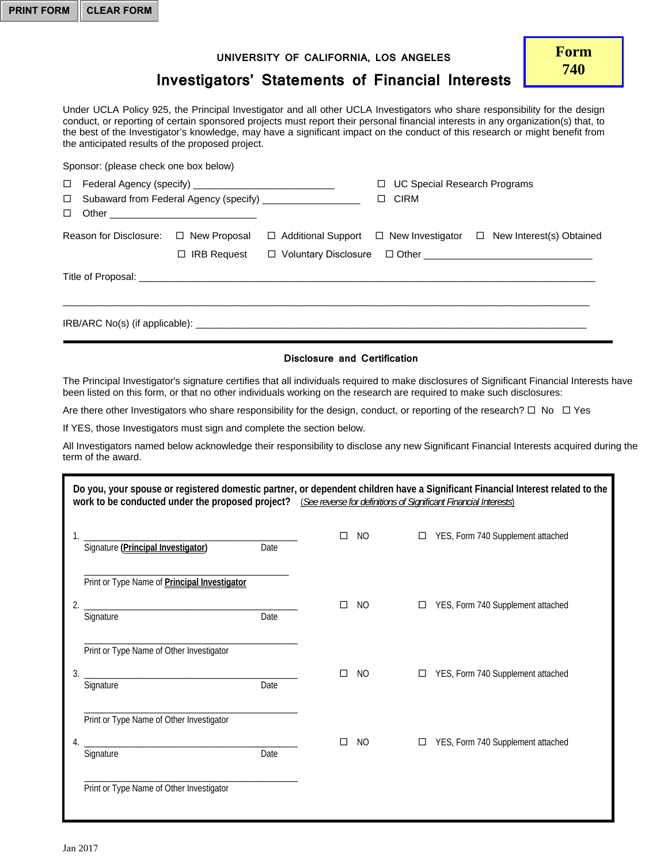## **UNIVERSITY OF CALIFORNIA, LOS ANGELES**

## **Investigators' Statements of Financial Interests**

Under UCLA Policy 925, the Principal Investigator and all other UCLA Investigators who share responsibility for the design conduct, or reporting of certain sponsored projects must report their personal financial interests in any organization(s) that, to the best of the Investigator's knowledge, may have a significant impact on the conduct of this research or might benefit from the anticipated results of the proposed project.

| Sponsor: (please check one box below) |                    |                                                             |                                          |                                                                                   |
|---------------------------------------|--------------------|-------------------------------------------------------------|------------------------------------------|-----------------------------------------------------------------------------------|
| $\Box$                                |                    |                                                             | <b>UC Special Research Programs</b><br>□ |                                                                                   |
| $\Box$                                |                    | Subaward from Federal Agency (specify) ____________________ | <b>CIRM</b><br>$\Box$                    |                                                                                   |
| $\Box$                                |                    |                                                             |                                          |                                                                                   |
| Reason for Disclosure: □ New Proposal |                    |                                                             |                                          | $\Box$ Additional Support $\Box$ New Investigator $\Box$ New Interest(s) Obtained |
|                                       | $\Box$ IRB Request |                                                             |                                          |                                                                                   |
|                                       |                    |                                                             |                                          |                                                                                   |
|                                       |                    |                                                             |                                          |                                                                                   |
|                                       |                    |                                                             |                                          |                                                                                   |

## **Disclosure and Certification**

The Principal Investigator's signature certifies that all individuals required to make disclosures of Significant Financial Interests have been listed on this form, or that no other individuals working on the research are required to make such disclosures:

Are there other Investigators who share responsibility for the design, conduct, or reporting of the research?  $\Box$  No  $\Box$  Yes

If YES, those Investigators must sign and complete the section below.

All Investigators named below acknowledge their responsibility to disclose any new Significant Financial Interests acquired during the term of the award.

| Do you, your spouse or registered domestic partner, or dependent children have a Significant Financial Interest related to the<br>work to be conducted under the proposed project? (See reverse for definitions of Significant Financial Interests) |   |     |                                             |  |  |
|-----------------------------------------------------------------------------------------------------------------------------------------------------------------------------------------------------------------------------------------------------|---|-----|---------------------------------------------|--|--|
| Signature (Principal Investigator) Date                                                                                                                                                                                                             |   | NO. | YES, Form 740 Supplement attached<br>$\Box$ |  |  |
| Print or Type Name of <b>Principal Investigator</b><br>Date<br>Signature                                                                                                                                                                            |   | NO. | YES, Form 740 Supplement attached<br>□      |  |  |
| Print or Type Name of Other Investigator<br>3.<br>Date<br>Signature                                                                                                                                                                                 | п | NO. | YES, Form 740 Supplement attached<br>$\Box$ |  |  |
| Print or Type Name of Other Investigator<br>Date<br>Signature                                                                                                                                                                                       |   | NO. | YES, Form 740 Supplement attached           |  |  |
| Print or Type Name of Other Investigator                                                                                                                                                                                                            |   |     |                                             |  |  |